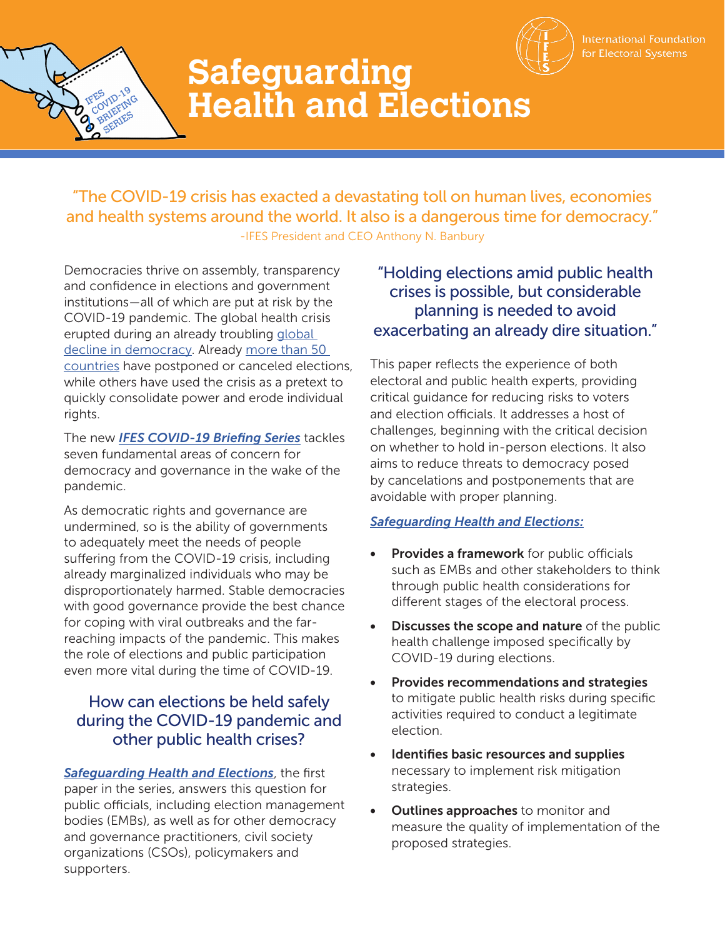

International Foundation for Electoral Systems



# **Safeguarding Health and Elections**

"The COVID-19 crisis has exacted a devastating toll on human lives, economies and health systems around the world. It also is a dangerous time for democracy." -IFES President and CEO Anthony N. Banbury

Democracies thrive on assembly, transparency and confidence in elections and government institutions—all of which are put at risk by the COVID-19 pandemic. The global health crisis erupted during an already troubling [global](https://www.v-dem.net/media/filer_public/f0/5d/f05d46d8-626f-4b20-8e4e-53d4b134bfcb/democracy_report_2020_low.pdf)  [decline in democracy.](https://www.v-dem.net/media/filer_public/f0/5d/f05d46d8-626f-4b20-8e4e-53d4b134bfcb/democracy_report_2020_low.pdf) Already [more than 50](http://www.electionguide.org/digest/post/17591/)  [countries](http://www.electionguide.org/digest/post/17591/) have postponed or canceled elections, while others have used the crisis as a pretext to quickly consolidate power and erode individual rights.

The new *[IFES COVID-19 Briefing Series](https://www.ifes.org/ifes-covid-19-briefing-series)* tackles seven fundamental areas of concern for democracy and governance in the wake of the pandemic.

As democratic rights and governance are undermined, so is the ability of governments to adequately meet the needs of people suffering from the COVID-19 crisis, including already marginalized individuals who may be disproportionately harmed. Stable democracies with good governance provide the best chance for coping with viral outbreaks and the farreaching impacts of the pandemic. This makes the role of elections and public participation even more vital during the time of COVID-19.

## How can elections be held safely during the COVID-19 pandemic and other public health crises?

*Safeguarding Health and Elections*, the first paper in the series, answers this question for public officials, including election management bodies (EMBs), as well as for other democracy and governance practitioners, civil society organizations (CSOs), policymakers and supporters.

## "Holding elections amid public health crises is possible, but considerable planning is needed to avoid exacerbating an already dire situation."

This paper reflects the experience of both electoral and public health experts, providing critical guidance for reducing risks to voters and election officials. It addresses a host of challenges, beginning with the critical decision on whether to hold in-person elections. It also aims to reduce threats to democracy posed by cancelations and postponements that are avoidable with proper planning.

### *Safeguarding Health and Elections:*

- Provides a framework for public officials such as EMBs and other stakeholders to think through public health considerations for different stages of the electoral process.
- **Discusses the scope and nature of the public** health challenge imposed specifically by COVID-19 during elections.
- Provides recommendations and strategies to mitigate public health risks during specific activities required to conduct a legitimate election.
- Identifies basic resources and supplies necessary to implement risk mitigation strategies.
- **Outlines approaches** to monitor and measure the quality of implementation of the proposed strategies.